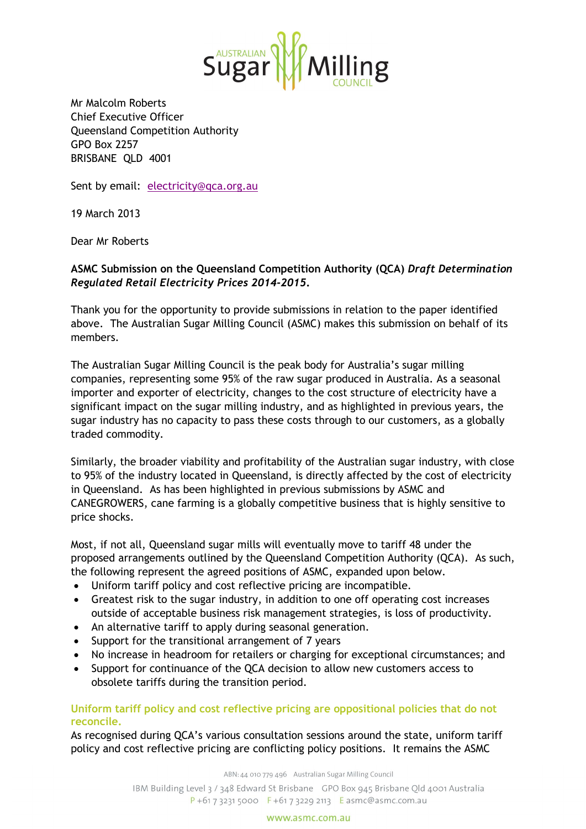

Mr Malcolm Roberts Chief Executive Officer Queensland Competition Authority GPO Box 2257 BRISBANE QLD 4001

Sent by email: [electricity@qca.org.au](mailto:electricity@qca.org.au)

19 March 2013

Dear Mr Roberts

# **ASMC Submission on the Queensland Competition Authority (QCA)** *Draft Determination Regulated Retail Electricity Prices 2014-2015***.**

Thank you for the opportunity to provide submissions in relation to the paper identified above. The Australian Sugar Milling Council (ASMC) makes this submission on behalf of its members.

The Australian Sugar Milling Council is the peak body for Australia's sugar milling companies, representing some 95% of the raw sugar produced in Australia. As a seasonal importer and exporter of electricity, changes to the cost structure of electricity have a significant impact on the sugar milling industry, and as highlighted in previous years, the sugar industry has no capacity to pass these costs through to our customers, as a globally traded commodity.

Similarly, the broader viability and profitability of the Australian sugar industry, with close to 95% of the industry located in Queensland, is directly affected by the cost of electricity in Queensland. As has been highlighted in previous submissions by ASMC and CANEGROWERS, cane farming is a globally competitive business that is highly sensitive to price shocks.

Most, if not all, Queensland sugar mills will eventually move to tariff 48 under the proposed arrangements outlined by the Queensland Competition Authority (QCA). As such, the following represent the agreed positions of ASMC, expanded upon below.

- Uniform tariff policy and cost reflective pricing are incompatible.
- Greatest risk to the sugar industry, in addition to one off operating cost increases outside of acceptable business risk management strategies, is loss of productivity.
- An alternative tariff to apply during seasonal generation.
- Support for the transitional arrangement of 7 years
- No increase in headroom for retailers or charging for exceptional circumstances; and
- Support for continuance of the QCA decision to allow new customers access to obsolete tariffs during the transition period.

## **Uniform tariff policy and cost reflective pricing are oppositional policies that do not reconcile.**

As recognised during QCA's various consultation sessions around the state, uniform tariff policy and cost reflective pricing are conflicting policy positions. It remains the ASMC

ABN: 44 010 779 496 Australian Sugar Milling Council

IBM Building Level 3 / 348 Edward St Brisbane GPO Box 945 Brisbane Old 4001 Australia  $P + 61732315000$  F + 61 7 3229 2113 E asmc@asmc.com.au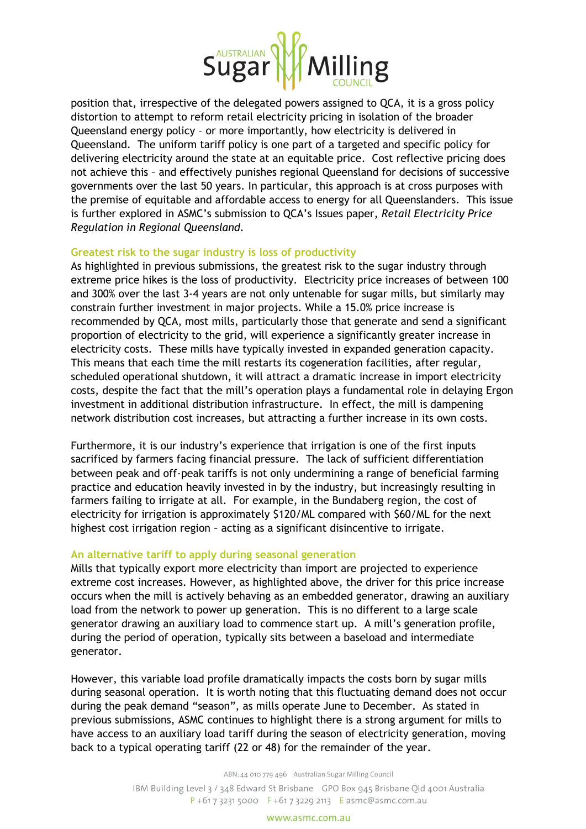

position that, irrespective of the delegated powers assigned to QCA, it is a gross policy distortion to attempt to reform retail electricity pricing in isolation of the broader Queensland energy policy – or more importantly, how electricity is delivered in Queensland. The uniform tariff policy is one part of a targeted and specific policy for delivering electricity around the state at an equitable price. Cost reflective pricing does not achieve this – and effectively punishes regional Queensland for decisions of successive governments over the last 50 years. In particular, this approach is at cross purposes with the premise of equitable and affordable access to energy for all Queenslanders. This issue is further explored in ASMC's submission to QCA's Issues paper, *Retail Electricity Price Regulation in Regional Queensland*.

## **Greatest risk to the sugar industry is loss of productivity**

As highlighted in previous submissions, the greatest risk to the sugar industry through extreme price hikes is the loss of productivity. Electricity price increases of between 100 and 300% over the last 3-4 years are not only untenable for sugar mills, but similarly may constrain further investment in major projects. While a 15.0% price increase is recommended by QCA, most mills, particularly those that generate and send a significant proportion of electricity to the grid, will experience a significantly greater increase in electricity costs. These mills have typically invested in expanded generation capacity. This means that each time the mill restarts its cogeneration facilities, after regular, scheduled operational shutdown, it will attract a dramatic increase in import electricity costs, despite the fact that the mill's operation plays a fundamental role in delaying Ergon investment in additional distribution infrastructure. In effect, the mill is dampening network distribution cost increases, but attracting a further increase in its own costs.

Furthermore, it is our industry's experience that irrigation is one of the first inputs sacrificed by farmers facing financial pressure. The lack of sufficient differentiation between peak and off-peak tariffs is not only undermining a range of beneficial farming practice and education heavily invested in by the industry, but increasingly resulting in farmers failing to irrigate at all. For example, in the Bundaberg region, the cost of electricity for irrigation is approximately \$120/ML compared with \$60/ML for the next highest cost irrigation region – acting as a significant disincentive to irrigate.

## **An alternative tariff to apply during seasonal generation**

Mills that typically export more electricity than import are projected to experience extreme cost increases. However, as highlighted above, the driver for this price increase occurs when the mill is actively behaving as an embedded generator, drawing an auxiliary load from the network to power up generation. This is no different to a large scale generator drawing an auxiliary load to commence start up. A mill's generation profile, during the period of operation, typically sits between a baseload and intermediate generator.

However, this variable load profile dramatically impacts the costs born by sugar mills during seasonal operation. It is worth noting that this fluctuating demand does not occur during the peak demand "season", as mills operate June to December. As stated in previous submissions, ASMC continues to highlight there is a strong argument for mills to have access to an auxiliary load tariff during the season of electricity generation, moving back to a typical operating tariff (22 or 48) for the remainder of the year.

ABN: 44 010 779 496 Australian Sugar Milling Council

IBM Building Level 3 / 348 Edward St Brisbane GPO Box 945 Brisbane Old 4001 Australia  $P + 61732315000$  F + 61 7 3229 2113 E asmc@asmc.com.au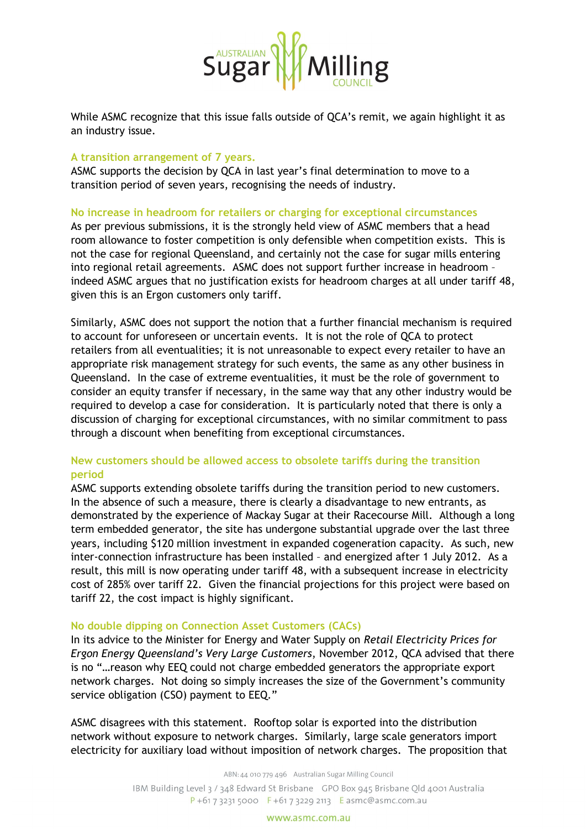

While ASMC recognize that this issue falls outside of QCA's remit, we again highlight it as an industry issue.

### **A transition arrangement of 7 years.**

ASMC supports the decision by QCA in last year's final determination to move to a transition period of seven years, recognising the needs of industry.

## **No increase in headroom for retailers or charging for exceptional circumstances**

As per previous submissions, it is the strongly held view of ASMC members that a head room allowance to foster competition is only defensible when competition exists. This is not the case for regional Queensland, and certainly not the case for sugar mills entering into regional retail agreements. ASMC does not support further increase in headroom – indeed ASMC argues that no justification exists for headroom charges at all under tariff 48, given this is an Ergon customers only tariff.

Similarly, ASMC does not support the notion that a further financial mechanism is required to account for unforeseen or uncertain events. It is not the role of QCA to protect retailers from all eventualities; it is not unreasonable to expect every retailer to have an appropriate risk management strategy for such events, the same as any other business in Queensland. In the case of extreme eventualities, it must be the role of government to consider an equity transfer if necessary, in the same way that any other industry would be required to develop a case for consideration. It is particularly noted that there is only a discussion of charging for exceptional circumstances, with no similar commitment to pass through a discount when benefiting from exceptional circumstances.

# **New customers should be allowed access to obsolete tariffs during the transition period**

ASMC supports extending obsolete tariffs during the transition period to new customers. In the absence of such a measure, there is clearly a disadvantage to new entrants, as demonstrated by the experience of Mackay Sugar at their Racecourse Mill. Although a long term embedded generator, the site has undergone substantial upgrade over the last three years, including \$120 million investment in expanded cogeneration capacity. As such, new inter-connection infrastructure has been installed – and energized after 1 July 2012. As a result, this mill is now operating under tariff 48, with a subsequent increase in electricity cost of 285% over tariff 22. Given the financial projections for this project were based on tariff 22, the cost impact is highly significant.

## **No double dipping on Connection Asset Customers (CACs)**

In its advice to the Minister for Energy and Water Supply on *Retail Electricity Prices for Ergon Energy Queensland's Very Large Customers*, November 2012, QCA advised that there is no "…reason why EEQ could not charge embedded generators the appropriate export network charges. Not doing so simply increases the size of the Government's community service obligation (CSO) payment to EEQ."

ASMC disagrees with this statement. Rooftop solar is exported into the distribution network without exposure to network charges. Similarly, large scale generators import electricity for auxiliary load without imposition of network charges. The proposition that

ABN: 44 010 779 496 Australian Sugar Milling Council

IBM Building Level 3 / 348 Edward St Brisbane GPO Box 945 Brisbane Qld 4001 Australia  $P + 61732315000$  F + 61 7 3229 2113 E asmc@asmc.com.au